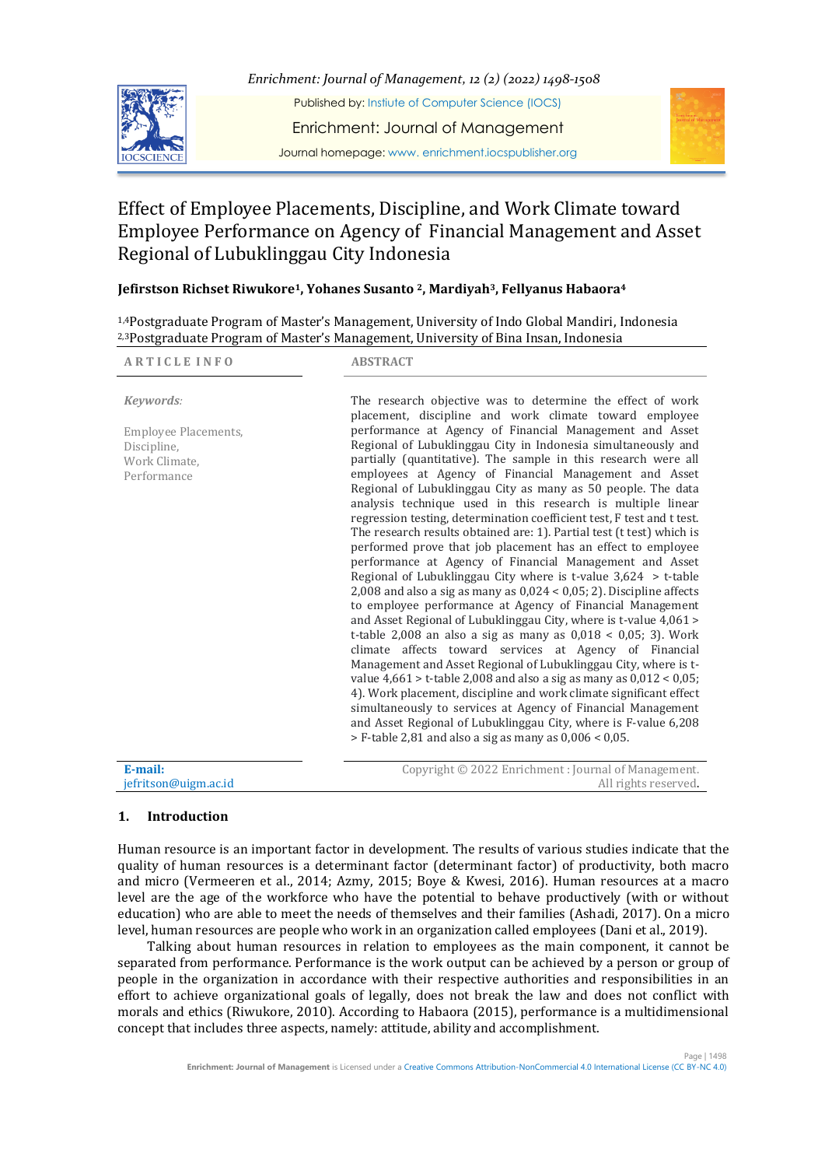

*Enrichment: Journal of Management, 12 (2) (2022) 1498-1508*

Published by: Instiute of Computer Science (IOCS)

Enrichment: Journal of Management

Journal homepage: www. enrichment.iocspublisher.org

# Effect of Employee Placements, Discipline, and Work Climate toward Employee Performance on Agency of Financial Management and Asset Regional of Lubuklinggau City Indonesia

# **Jefirstson Richset Riwukore1, Yohanes Susanto 2, Mardiyah3, Fellyanus Habaora<sup>4</sup>**

1,4Postgraduate Program of Master's Management, University of Indo Global Mandiri, Indonesia 2,3Postgraduate Program of Master's Management, University of Bina Insan, Indonesia

# **A R T I C L E I N F O ABSTRACT**

| Keywords:<br>Employee Placements,<br>Discipline,<br>Work Climate,<br>Performance | The research objective was to determine the effect of work<br>placement, discipline and work climate toward employee<br>performance at Agency of Financial Management and Asset<br>Regional of Lubuklinggau City in Indonesia simultaneously and<br>partially (quantitative). The sample in this research were all<br>employees at Agency of Financial Management and Asset<br>Regional of Lubuklinggau City as many as 50 people. The data<br>analysis technique used in this research is multiple linear<br>regression testing, determination coefficient test, F test and t test.<br>The research results obtained are: 1). Partial test (t test) which is<br>performed prove that job placement has an effect to employee<br>performance at Agency of Financial Management and Asset<br>Regional of Lubuklinggau City where is t-value $3,624 > t$ -table<br>2,008 and also a sig as many as $0,024 < 0,05$ ; 2). Discipline affects<br>to employee performance at Agency of Financial Management<br>and Asset Regional of Lubuklinggau City, where is t-value 4,061 ><br>t-table 2,008 an also a sig as many as $0,018 < 0,05$ ; 3). Work<br>climate affects toward services at Agency of Financial<br>Management and Asset Regional of Lubuklinggau City, where is t-<br>value $4,661 > t$ -table 2,008 and also a sig as many as $0,012 < 0,05$ ;<br>4). Work placement, discipline and work climate significant effect<br>simultaneously to services at Agency of Financial Management<br>and Asset Regional of Lubuklinggau City, where is F-value 6,208<br>$>$ F-table 2,81 and also a sig as many as 0,006 < 0,05. |
|----------------------------------------------------------------------------------|-------------------------------------------------------------------------------------------------------------------------------------------------------------------------------------------------------------------------------------------------------------------------------------------------------------------------------------------------------------------------------------------------------------------------------------------------------------------------------------------------------------------------------------------------------------------------------------------------------------------------------------------------------------------------------------------------------------------------------------------------------------------------------------------------------------------------------------------------------------------------------------------------------------------------------------------------------------------------------------------------------------------------------------------------------------------------------------------------------------------------------------------------------------------------------------------------------------------------------------------------------------------------------------------------------------------------------------------------------------------------------------------------------------------------------------------------------------------------------------------------------------------------------------------------------------------------------------------------------------------------------|
| E-mail:                                                                          | Copyright © 2022 Enrichment : Journal of Management.                                                                                                                                                                                                                                                                                                                                                                                                                                                                                                                                                                                                                                                                                                                                                                                                                                                                                                                                                                                                                                                                                                                                                                                                                                                                                                                                                                                                                                                                                                                                                                          |
| iefritson@uigm.ac.id                                                             | All rights reserved.                                                                                                                                                                                                                                                                                                                                                                                                                                                                                                                                                                                                                                                                                                                                                                                                                                                                                                                                                                                                                                                                                                                                                                                                                                                                                                                                                                                                                                                                                                                                                                                                          |

# **1. Introduction**

Human resource is an important factor in development. The results of various studies indicate that the quality of human resources is a determinant factor (determinant factor) of productivity, both macro and micro (Vermeeren et al., 2014; Azmy, 2015; Boye & Kwesi, 2016). Human resources at a macro level are the age of the workforce who have the potential to behave productively (with or without education) who are able to meet the needs of themselves and their families (Ashadi, 2017). On a micro level, human resources are people who work in an organization called employees (Dani et al., 2019).

Talking about human resources in relation to employees as the main component, it cannot be separated from performance. Performance is the work output can be achieved by a person or group of people in the organization in accordance with their respective authorities and responsibilities in an effort to achieve organizational goals of legally, does not break the law and does not conflict with morals and ethics (Riwukore, 2010). According to Habaora (2015), performance is a multidimensional concept that includes three aspects, namely: attitude, ability and accomplishment.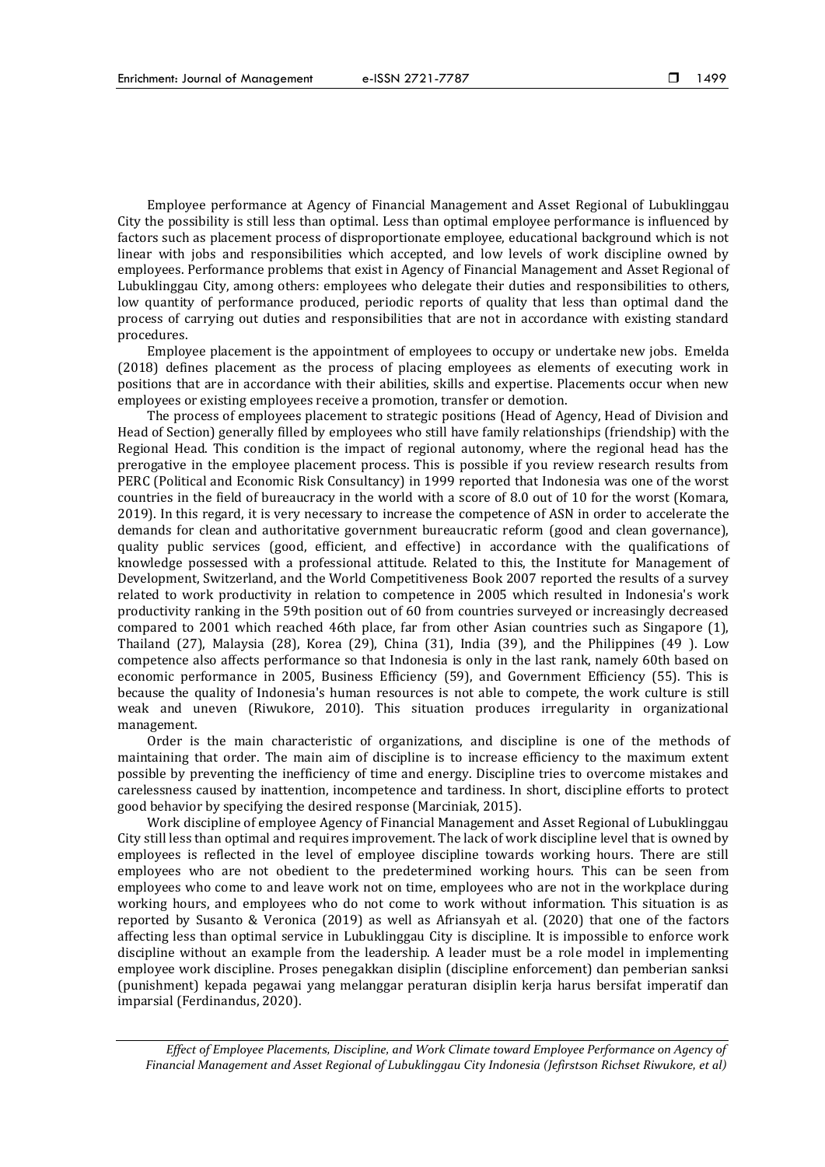Employee performance at Agency of Financial Management and Asset Regional of Lubuklinggau City the possibility is still less than optimal. Less than optimal employee performance is influenced by factors such as placement process of disproportionate employee, educational background which is not linear with jobs and responsibilities which accepted, and low levels of work discipline owned by employees. Performance problems that exist in Agency of Financial Management and Asset Regional of Lubuklinggau City, among others: employees who delegate their duties and responsibilities to others, low quantity of performance produced, periodic reports of quality that less than optimal dand the process of carrying out duties and responsibilities that are not in accordance with existing standard procedures.

Employee placement is the appointment of employees to occupy or undertake new jobs. Emelda (2018) defines placement as the process of placing employees as elements of executing work in positions that are in accordance with their abilities, skills and expertise. Placements occur when new employees or existing employees receive a promotion, transfer or demotion.

The process of employees placement to strategic positions (Head of Agency, Head of Division and Head of Section) generally filled by employees who still have family relationships (friendship) with the Regional Head. This condition is the impact of regional autonomy, where the regional head has the prerogative in the employee placement process. This is possible if you review research results from PERC (Political and Economic Risk Consultancy) in 1999 reported that Indonesia was one of the worst countries in the field of bureaucracy in the world with a score of 8.0 out of 10 for the worst (Komara, 2019). In this regard, it is very necessary to increase the competence of ASN in order to accelerate the demands for clean and authoritative government bureaucratic reform (good and clean governance), quality public services (good, efficient, and effective) in accordance with the qualifications of knowledge possessed with a professional attitude. Related to this, the Institute for Management of Development, Switzerland, and the World Competitiveness Book 2007 reported the results of a survey related to work productivity in relation to competence in 2005 which resulted in Indonesia's work productivity ranking in the 59th position out of 60 from countries surveyed or increasingly decreased compared to 2001 which reached 46th place, far from other Asian countries such as Singapore (1), Thailand (27), Malaysia (28), Korea (29), China (31), India (39), and the Philippines (49 ). Low competence also affects performance so that Indonesia is only in the last rank, namely 60th based on economic performance in 2005, Business Efficiency (59), and Government Efficiency (55). This is because the quality of Indonesia's human resources is not able to compete, the work culture is still weak and uneven (Riwukore, 2010). This situation produces irregularity in organizational management.

Order is the main characteristic of organizations, and discipline is one of the methods of maintaining that order. The main aim of discipline is to increase efficiency to the maximum extent possible by preventing the inefficiency of time and energy. Discipline tries to overcome mistakes and carelessness caused by inattention, incompetence and tardiness. In short, discipline efforts to protect good behavior by specifying the desired response (Marciniak, 2015).

Work discipline of employee Agency of Financial Management and Asset Regional of Lubuklinggau City still less than optimal and requires improvement. The lack of work discipline level that is owned by employees is reflected in the level of employee discipline towards working hours. There are still employees who are not obedient to the predetermined working hours. This can be seen from employees who come to and leave work not on time, employees who are not in the workplace during working hours, and employees who do not come to work without information. This situation is as reported by Susanto & Veronica (2019) as well as Afriansyah et al. (2020) that one of the factors affecting less than optimal service in Lubuklinggau City is discipline. It is impossible to enforce work discipline without an example from the leadership. A leader must be a role model in implementing employee work discipline. Proses penegakkan disiplin (discipline enforcement) dan pemberian sanksi (punishment) kepada pegawai yang melanggar peraturan disiplin kerja harus bersifat imperatif dan imparsial (Ferdinandus, 2020).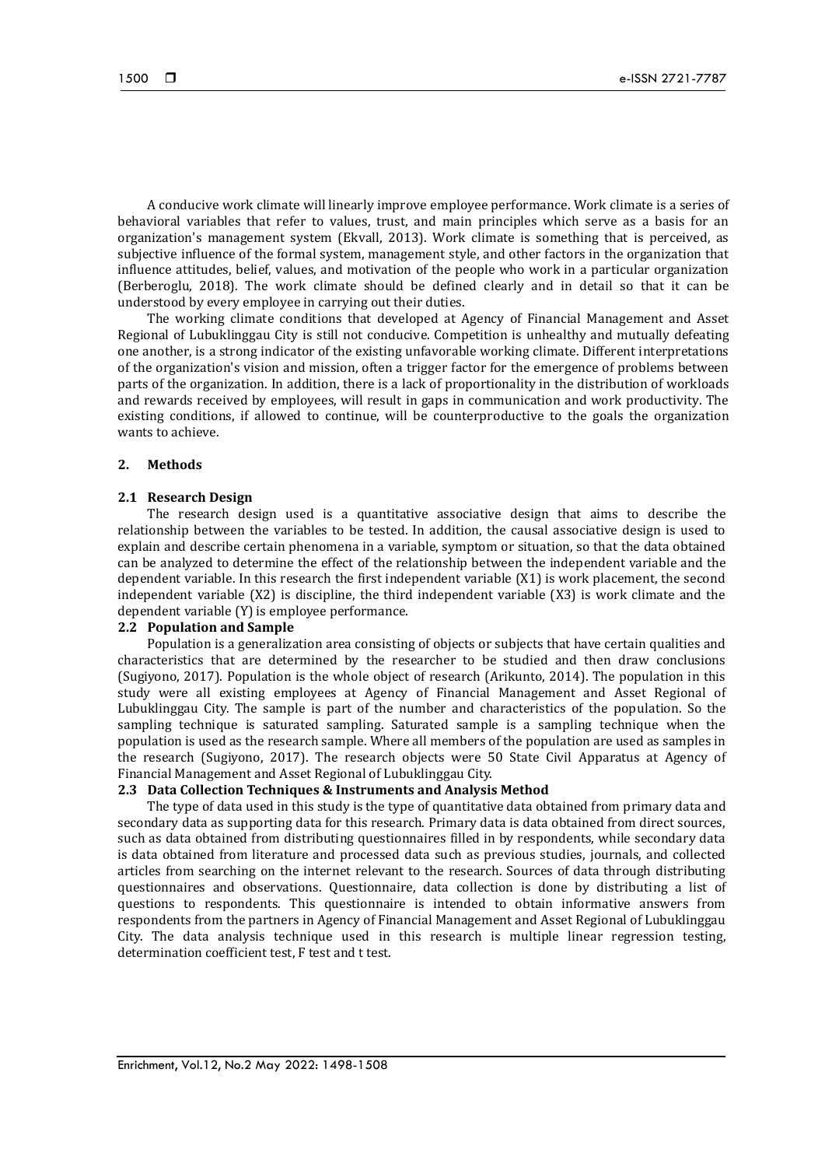A conducive work climate will linearly improve employee performance. Work climate is a series of behavioral variables that refer to values, trust, and main principles which serve as a basis for an organization's management system (Ekvall, 2013). Work climate is something that is perceived, as subjective influence of the formal system, management style, and other factors in the organization that influence attitudes, belief, values, and motivation of the people who work in a particular organization (Berberoglu, 2018). The work climate should be defined clearly and in detail so that it can be understood by every employee in carrying out their duties.

The working climate conditions that developed at Agency of Financial Management and Asset Regional of Lubuklinggau City is still not conducive. Competition is unhealthy and mutually defeating one another, is a strong indicator of the existing unfavorable working climate. Different interpretations of the organization's vision and mission, often a trigger factor for the emergence of problems between parts of the organization. In addition, there is a lack of proportionality in the distribution of workloads and rewards received by employees, will result in gaps in communication and work productivity. The existing conditions, if allowed to continue, will be counterproductive to the goals the organization wants to achieve.

#### **2. Methods**

#### **2.1 Research Design**

The research design used is a quantitative associative design that aims to describe the relationship between the variables to be tested. In addition, the causal associative design is used to explain and describe certain phenomena in a variable, symptom or situation, so that the data obtained can be analyzed to determine the effect of the relationship between the independent variable and the dependent variable. In this research the first independent variable (X1) is work placement, the second independent variable (X2) is discipline, the third independent variable (X3) is work climate and the dependent variable (Y) is employee performance.

# **2.2 Population and Sample**

Population is a generalization area consisting of objects or subjects that have certain qualities and characteristics that are determined by the researcher to be studied and then draw conclusions (Sugiyono, 2017). Population is the whole object of research (Arikunto, 2014). The population in this study were all existing employees at Agency of Financial Management and Asset Regional of Lubuklinggau City. The sample is part of the number and characteristics of the population. So the sampling technique is saturated sampling. Saturated sample is a sampling technique when the population is used as the research sample. Where all members of the population are used as samples in the research (Sugiyono, 2017). The research objects were 50 State Civil Apparatus at Agency of Financial Management and Asset Regional of Lubuklinggau City.

#### **2.3 Data Collection Techniques & Instruments and Analysis Method**

The type of data used in this study is the type of quantitative data obtained from primary data and secondary data as supporting data for this research. Primary data is data obtained from direct sources, such as data obtained from distributing questionnaires filled in by respondents, while secondary data is data obtained from literature and processed data such as previous studies, journals, and collected articles from searching on the internet relevant to the research. Sources of data through distributing questionnaires and observations. Questionnaire, data collection is done by distributing a list of questions to respondents. This questionnaire is intended to obtain informative answers from respondents from the partners in Agency of Financial Management and Asset Regional of Lubuklinggau City. The data analysis technique used in this research is multiple linear regression testing, determination coefficient test, F test and t test.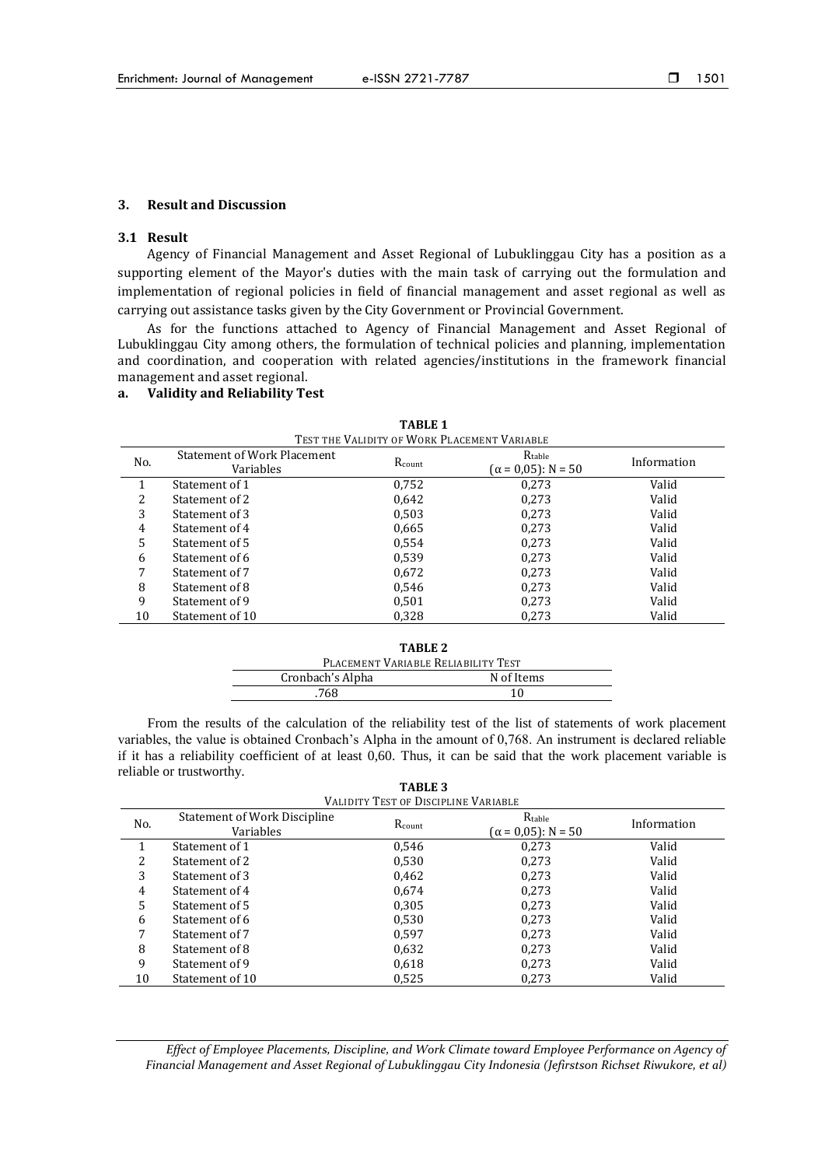#### **3. Result and Discussion**

#### **3.1 Result**

Agency of Financial Management and Asset Regional of Lubuklinggau City has a position as a supporting element of the Mayor's duties with the main task of carrying out the formulation and implementation of regional policies in field of financial management and asset regional as well as carrying out assistance tasks given by the City Government or Provincial Government.

As for the functions attached to Agency of Financial Management and Asset Regional of Lubuklinggau City among others, the formulation of technical policies and planning, implementation and coordination, and cooperation with related agencies/institutions in the framework financial management and asset regional.

# **a. Validity and Reliability Test**

|     | TEST THE VALIDITY OF WORK PLACEMENT VARIABLE    |        |                                      |             |  |  |
|-----|-------------------------------------------------|--------|--------------------------------------|-------------|--|--|
| No. | <b>Statement of Work Placement</b><br>Variables | Rcount | Rtable<br>$(\alpha = 0.05)$ : N = 50 | Information |  |  |
|     | Statement of 1                                  | 0,752  | 0.273                                | Valid       |  |  |
| 2   | Statement of 2                                  | 0,642  | 0,273                                | Valid       |  |  |
| 3   | Statement of 3                                  | 0,503  | 0,273                                | Valid       |  |  |
| 4   | Statement of 4                                  | 0.665  | 0.273                                | Valid       |  |  |
| 5   | Statement of 5                                  | 0.554  | 0,273                                | Valid       |  |  |
| 6   | Statement of 6                                  | 0.539  | 0.273                                | Valid       |  |  |
| 7   | Statement of 7                                  | 0,672  | 0,273                                | Valid       |  |  |
| 8   | Statement of 8                                  | 0.546  | 0.273                                | Valid       |  |  |
| 9   | Statement of 9                                  | 0,501  | 0,273                                | Valid       |  |  |
| 10  | Statement of 10                                 | 0,328  | 0,273                                | Valid       |  |  |

| <b>TABLE 1</b>                |  |
|-------------------------------|--|
| VALIDITY OF WORK PLACEMENT VA |  |

| TABLE 2                             |            |
|-------------------------------------|------------|
| PLACEMENT VARIABLE RELIABILITY TEST |            |
| Cronbach's Alpha                    | N of Items |
| .768                                | 10         |

From the results of the calculation of the reliability test of the list of statements of work placement variables, the value is obtained Cronbach's Alpha in the amount of 0,768. An instrument is declared reliable if it has a reliability coefficient of at least 0,60. Thus, it can be said that the work placement variable is reliable or trustworthy.

**TABLE 3**

|                                                         | <b>VALIDITY TEST OF DISCIPLINE VARIABLE</b> |        |                                           |             |  |  |  |
|---------------------------------------------------------|---------------------------------------------|--------|-------------------------------------------|-------------|--|--|--|
| <b>Statement of Work Discipline</b><br>No.<br>Variables |                                             | Rcount | $R_{table}$<br>$(\alpha = 0.05)$ : N = 50 | Information |  |  |  |
|                                                         | Statement of 1                              | 0,546  | 0,273                                     | Valid       |  |  |  |
| 2                                                       | Statement of 2                              | 0.530  | 0.273                                     | Valid       |  |  |  |
| 3                                                       | Statement of 3                              | 0,462  | 0,273                                     | Valid       |  |  |  |
| 4                                                       | Statement of 4                              | 0.674  | 0,273                                     | Valid       |  |  |  |
| 5                                                       | Statement of 5                              | 0,305  | 0,273                                     | Valid       |  |  |  |
| 6                                                       | Statement of 6                              | 0,530  | 0,273                                     | Valid       |  |  |  |
| 7                                                       | Statement of 7                              | 0.597  | 0.273                                     | Valid       |  |  |  |
| 8                                                       | Statement of 8                              | 0,632  | 0,273                                     | Valid       |  |  |  |
| 9                                                       | Statement of 9                              | 0,618  | 0,273                                     | Valid       |  |  |  |
| 10                                                      | Statement of 10                             | 0.525  | 0.273                                     | Valid       |  |  |  |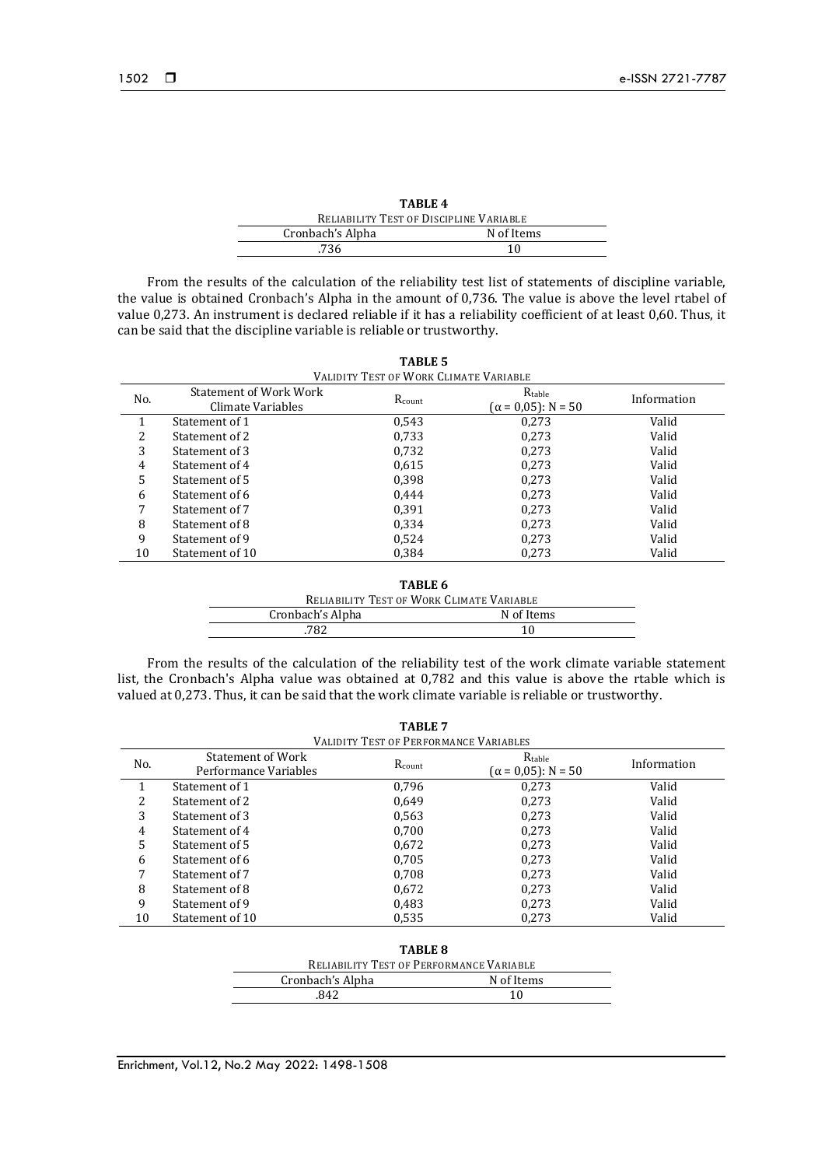| TABLE 4                                 |            |
|-----------------------------------------|------------|
| RELIABILITY TEST OF DISCIPLINE VARIABLE |            |
| Cronbach's Alpha                        | N of Items |
| .736                                    | 10         |

From the results of the calculation of the reliability test list of statements of discipline variable, the value is obtained Cronbach's Alpha in the amount of 0,736. The value is above the level rtabel of value 0,273. An instrument is declared reliable if it has a reliability coefficient of at least 0,60. Thus, it can be said that the discipline variable is reliable or trustworthy.

| No. | <b>Statement of Work Work</b><br>Climate Variables | Rcount | Rtable<br>$(\alpha = 0.05)$ : N = 50 | Information |
|-----|----------------------------------------------------|--------|--------------------------------------|-------------|
| 1   | Statement of 1                                     | 0.543  | 0.273                                | Valid       |
| 2   | Statement of 2                                     | 0.733  | 0.273                                | Valid       |
| 3   | Statement of 3                                     | 0.732  | 0.273                                | Valid       |
| 4   | Statement of 4                                     | 0,615  | 0.273                                | Valid       |
| 5   | Statement of 5                                     | 0.398  | 0.273                                | Valid       |
| 6   | Statement of 6                                     | 0.444  | 0.273                                | Valid       |
| 7   | Statement of 7                                     | 0.391  | 0.273                                | Valid       |
| 8   | Statement of 8                                     | 0.334  | 0.273                                | Valid       |
| 9   | Statement of 9                                     | 0.524  | 0.273                                | Valid       |
| 10  | Statement of 10                                    | 0,384  | 0,273                                | Valid       |

**TABLE 6**

| RELIABILITY TEST OF WORK CLIMATE VARIABLE |            |
|-------------------------------------------|------------|
| Cronbach's Alpha                          | N of Items |
| .782                                      | 10         |

From the results of the calculation of the reliability test of the work climate variable statement list, the Cronbach's Alpha value was obtained at 0,782 and this value is above the rtable which is valued at 0,273. Thus, it can be said that the work climate variable is reliable or trustworthy.

| <b>VALIDITY TEST OF PERFORMANCE VARIABLES</b><br>Statement of Work<br>Rtable<br>No.<br>Information<br>Rcount |                       |                                          |                            |       |  |  |
|--------------------------------------------------------------------------------------------------------------|-----------------------|------------------------------------------|----------------------------|-------|--|--|
|                                                                                                              | Performance Variables |                                          | $(\alpha = 0.05)$ : N = 50 |       |  |  |
| 1                                                                                                            | Statement of 1        | 0,796                                    | 0,273                      | Valid |  |  |
| 2                                                                                                            | Statement of 2        | 0,649                                    | 0,273                      | Valid |  |  |
| 3                                                                                                            | Statement of 3        | 0,563                                    | 0,273                      | Valid |  |  |
| 4                                                                                                            | Statement of 4        | 0,700                                    | 0,273                      | Valid |  |  |
| 5                                                                                                            | Statement of 5        | 0,672                                    | 0,273                      | Valid |  |  |
| 6                                                                                                            | Statement of 6        | 0,705                                    | 0,273                      | Valid |  |  |
| 7                                                                                                            | Statement of 7        | 0,708                                    | 0,273                      | Valid |  |  |
| 8                                                                                                            | Statement of 8        | 0,672                                    | 0,273                      | Valid |  |  |
| 9                                                                                                            | Statement of 9        | 0,483                                    | 0,273                      | Valid |  |  |
| 10                                                                                                           | Statement of 10       | 0,535                                    | 0,273                      | Valid |  |  |
|                                                                                                              |                       |                                          |                            |       |  |  |
|                                                                                                              |                       | TABLE 8                                  |                            |       |  |  |
|                                                                                                              |                       | RELIABILITY TEST OF PERFORMANCE VARIABLE |                            |       |  |  |
|                                                                                                              | Cronbach's Alpha      |                                          | N of Items                 |       |  |  |

| Grondach s'Alpha | N OI REINS |
|------------------|------------|
| 842              |            |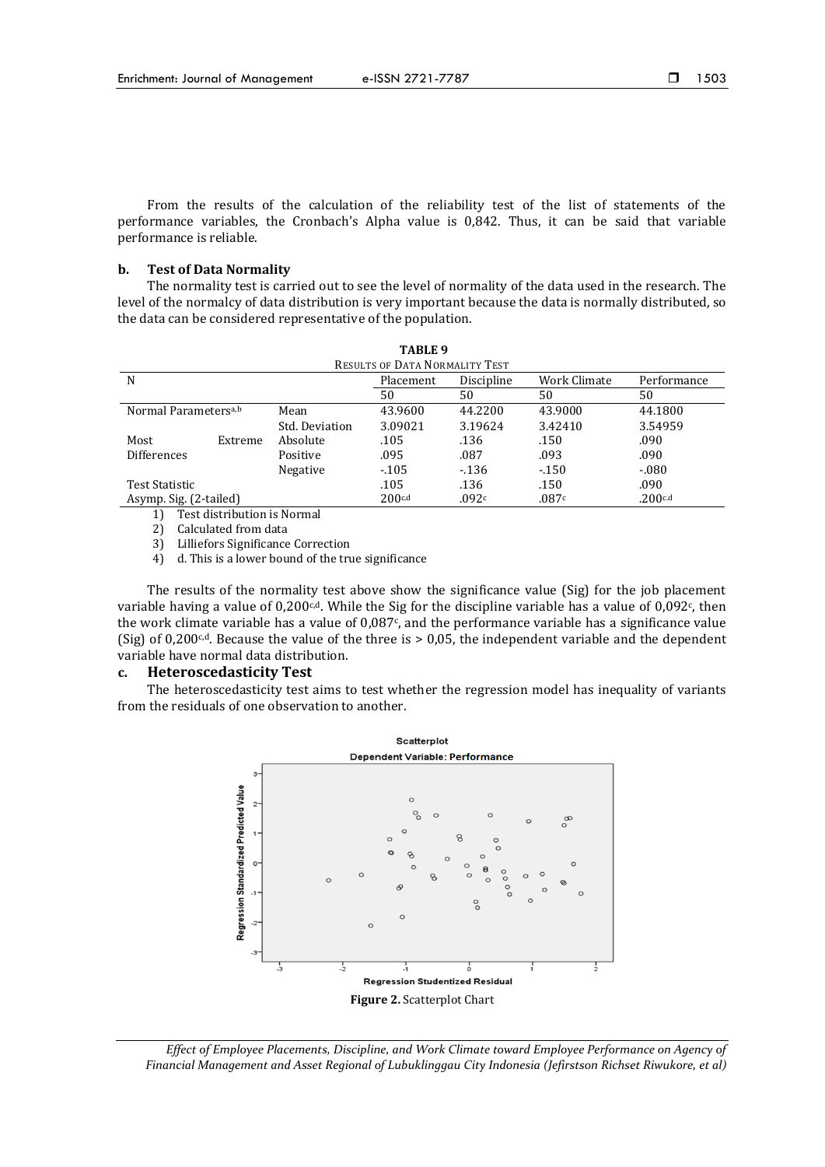From the results of the calculation of the reliability test of the list of statements of the performance variables, the Cronbach's Alpha value is 0,842. Thus, it can be said that variable performance is reliable.

## **b. Test of Data Normality**

The normality test is carried out to see the level of normality of the data used in the research. The level of the normalcy of data distribution is very important because the data is normally distributed, so the data can be considered representative of the population.

| TABLE <sub>9</sub>                       |                                |           |            |              |             |  |  |
|------------------------------------------|--------------------------------|-----------|------------|--------------|-------------|--|--|
|                                          | RESULTS OF DATA NORMALITY TEST |           |            |              |             |  |  |
| N                                        |                                | Placement | Discipline | Work Climate | Performance |  |  |
|                                          |                                | 50        | 50         | 50           | 50          |  |  |
| Normal Parameters <sup>a,b</sup><br>Mean |                                | 43.9600   | 44.2200    | 43.9000      | 44.1800     |  |  |
|                                          | Std. Deviation                 | 3.09021   | 3.19624    | 3.42410      | 3.54959     |  |  |
| Most<br>Extreme                          | Absolute                       | .105      | .136       | .150         | .090        |  |  |
| <b>Differences</b>                       | Positive                       | .095      | .087       | .093         | .090        |  |  |
|                                          | Negative                       | $-105$    | $-136$     | $-150$       | $-080$      |  |  |
| Test Statistic                           | .105                           | .136      | .150       | .090         |             |  |  |
| Asymp. Sig. (2-tailed)                   |                                | 200c.d    | .092c      | .087c        | .200c.d     |  |  |

1) Test distribution is Normal

2) Calculated from data

3) Lilliefors Significance Correction

4) d. This is a lower bound of the true significance

The results of the normality test above show the significance value (Sig) for the job placement variable having a value of  $0,200^{c,d}$ . While the Sig for the discipline variable has a value of  $0,092^c$ , then the work climate variable has a value of  $0.087<sup>c</sup>$ , and the performance variable has a significance value (Sig) of 0,200<sup>c,d</sup>. Because the value of the three is  $> 0.05$ , the independent variable and the dependent variable have normal data distribution.

#### **c. Heteroscedasticity Test**

The heteroscedasticity test aims to test whether the regression model has inequality of variants from the residuals of one observation to another.

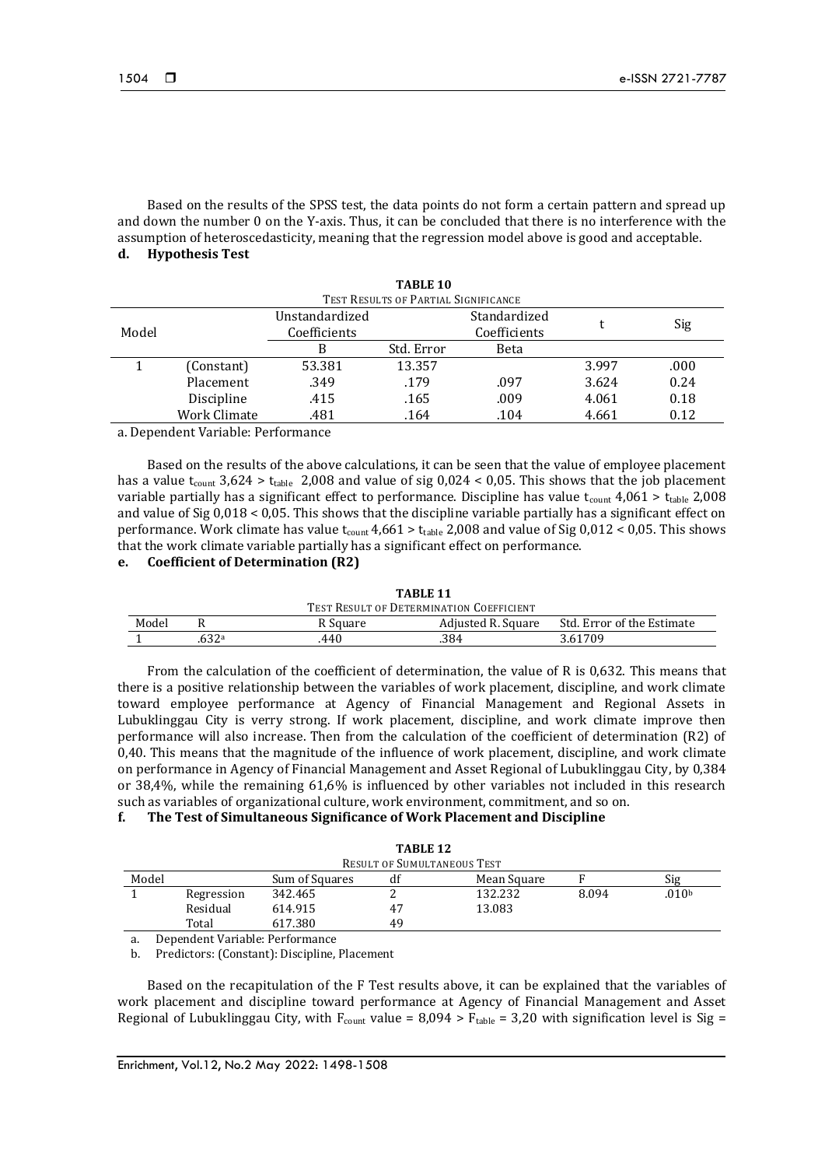Based on the results of the SPSS test, the data points do not form a certain pattern and spread up and down the number 0 on the Y-axis. Thus, it can be concluded that there is no interference with the assumption of heteroscedasticity, meaning that the regression model above is good and acceptable. **d. Hypothesis Test**

|       |              |                | <b>TABLE 10</b>                             |              |       |      |
|-------|--------------|----------------|---------------------------------------------|--------------|-------|------|
|       |              |                | <b>TEST RESULTS OF PARTIAL SIGNIFICANCE</b> |              |       |      |
|       |              | Unstandardized |                                             | Standardized |       |      |
| Model |              | Coefficients   |                                             | Coefficients |       | Sig  |
|       |              | B              | Std. Error                                  | Beta         |       |      |
|       | (Constant)   | 53.381         | 13.357                                      |              | 3.997 | .000 |
|       | Placement    | .349           | .179                                        | .097         | 3.624 | 0.24 |
|       | Discipline   | .415           | .165                                        | .009         | 4.061 | 0.18 |
|       | Work Climate | .481           | .164                                        | .104         | 4.661 | 0.12 |
|       | .            |                |                                             |              |       |      |

a. Dependent Variable: Performance

Based on the results of the above calculations, it can be seen that the value of employee placement has a value t<sub>count</sub>  $3,624 > t_{table}$  2,008 and value of sig 0,024 < 0,05. This shows that the job placement variable partially has a significant effect to performance. Discipline has value  $t_{\text{count}}$  4,061 >  $t_{\text{table}}$  2,008 and value of Sig 0,018 < 0,05. This shows that the discipline variable partially has a significant effect on performance. Work climate has value  $t_{\text{count}}$  4,661 >  $t_{\text{table}}$  2,008 and value of Sig 0,012 < 0,05. This shows that the work climate variable partially has a significant effect on performance.

# **e. Coefficient of Determination (R2)**

**TABLE 11** TEST RESULT OF DETERMINATION COEFFICIENT Model R R Square Adjusted R. Square Std. Error of the Estimate  $1 \t 32^a \t 3.61709$  .384  $3.61709$ 

From the calculation of the coefficient of determination, the value of R is 0,632. This means that there is a positive relationship between the variables of work placement, discipline, and work climate toward employee performance at Agency of Financial Management and Regional Assets in Lubuklinggau City is verry strong. If work placement, discipline, and work climate improve then performance will also increase. Then from the calculation of the coefficient of determination (R2) of 0,40. This means that the magnitude of the influence of work placement, discipline, and work climate on performance in Agency of Financial Management and Asset Regional of Lubuklinggau City, by 0,384 or 38,4%, while the remaining 61,6% is influenced by other variables not included in this research such as variables of organizational culture, work environment, commitment, and so on.

# **f. The Test of Simultaneous Significance of Work Placement and Discipline**

| TABLE 12                           |            |                |    |             |       |                   |  |
|------------------------------------|------------|----------------|----|-------------|-------|-------------------|--|
| <b>RESULT OF SUMULTANEOUS TEST</b> |            |                |    |             |       |                   |  |
| Model                              |            | Sum of Squares | df | Mean Square |       | Sig               |  |
|                                    | Regression | 342.465        |    | 132.232     | 8.094 | .010 <sub>b</sub> |  |
|                                    | Residual   | 614.915        | 47 | 13.083      |       |                   |  |
|                                    | Total      | 617.380        | 49 |             |       |                   |  |

a. Dependent Variable: Performance

b. Predictors: (Constant): Discipline, Placement

Based on the recapitulation of the F Test results above, it can be explained that the variables of work placement and discipline toward performance at Agency of Financial Management and Asset Regional of Lubuklinggau City, with  $F_{\text{count}}$  value = 8,094 >  $F_{\text{table}}$  = 3,20 with signification level is Sig =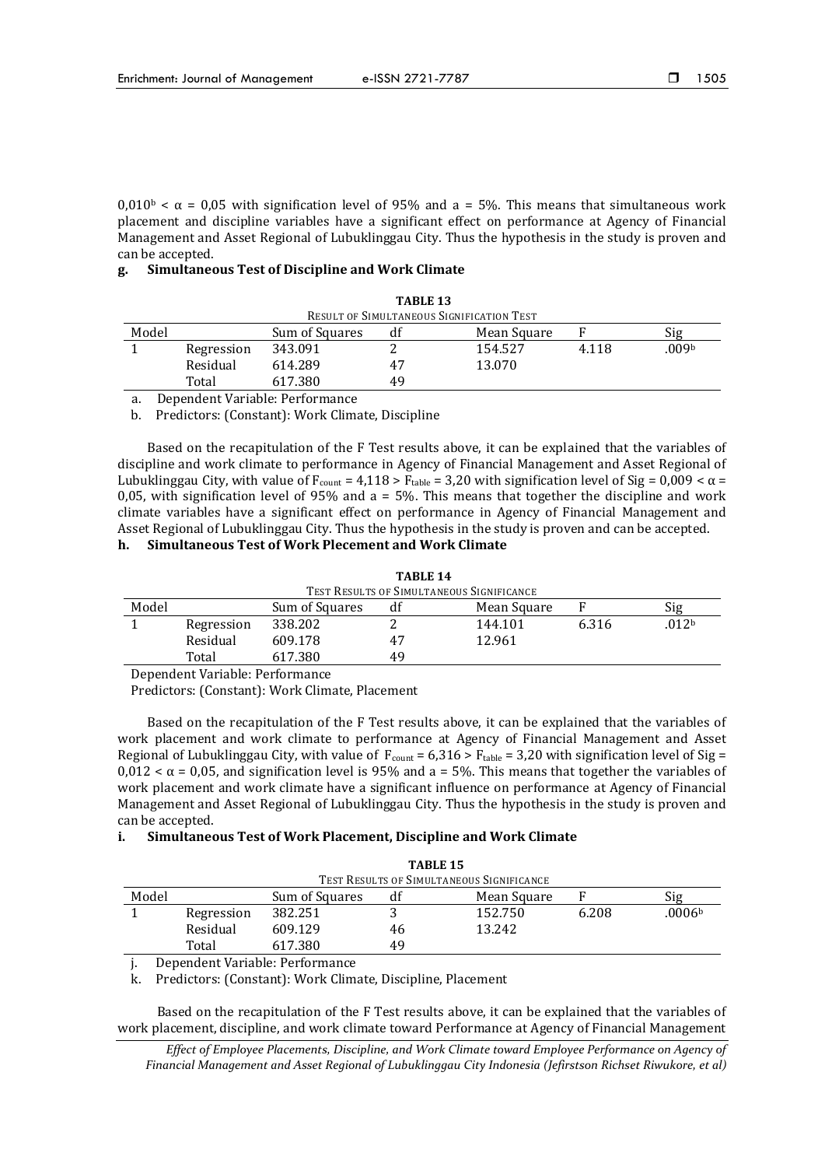$0.010<sup>b</sup> < \alpha = 0.05$  with signification level of 95% and a = 5%. This means that simultaneous work placement and discipline variables have a significant effect on performance at Agency of Financial Management and Asset Regional of Lubuklinggau City. Thus the hypothesis in the study is proven and can be accepted.

# **g. Simultaneous Test of Discipline and Work Climate**

| 1 ADLE 1.)                                       |                |                |    |             |       |       |  |
|--------------------------------------------------|----------------|----------------|----|-------------|-------|-------|--|
| <b>RESULT OF SIMULTANEOUS SIGNIFICATION TEST</b> |                |                |    |             |       |       |  |
| Model                                            |                | Sum of Squares | df | Mean Square |       | Sig   |  |
|                                                  | Regression     | 343.091        |    | 154.527     | 4.118 | .009b |  |
|                                                  | Residual       | 614.289        | 47 | 13.070      |       |       |  |
|                                                  | Total          | 617.380        | 49 |             |       |       |  |
| $\mathbf{r}$                                     | $\blacksquare$ |                |    |             |       |       |  |

**TABLE 13**

a. Dependent Variable: Performance

b. Predictors: (Constant): Work Climate, Discipline

Based on the recapitulation of the F Test results above, it can be explained that the variables of discipline and work climate to performance in Agency of Financial Management and Asset Regional of Lubuklinggau City, with value of  $F_{\text{count}} = 4,118 > F_{\text{table}} = 3,20$  with signification level of Sig = 0,009 <  $\alpha$  = 0,05, with signification level of 95% and a = 5%. This means that together the discipline and work climate variables have a significant effect on performance in Agency of Financial Management and Asset Regional of Lubuklinggau City. Thus the hypothesis in the study is proven and can be accepted.

# **h. Simultaneous Test of Work Plecement and Work Climate**

| TABLE 14                                         |            |                |    |             |       |                   |  |
|--------------------------------------------------|------------|----------------|----|-------------|-------|-------------------|--|
| <b>TEST RESULTS OF SIMULTANEOUS SIGNIFICANCE</b> |            |                |    |             |       |                   |  |
| Model                                            |            | Sum of Squares | df | Mean Square |       | Sig               |  |
|                                                  | Regression | 338.202        |    | 144.101     | 6.316 | .012 <sup>b</sup> |  |
|                                                  | Residual   | 609.178        | 47 | 12.961      |       |                   |  |
|                                                  | Total      | 617.380        | 49 |             |       |                   |  |

**TABLE 14**

Dependent Variable: Performance

Predictors: (Constant): Work Climate, Placement

Based on the recapitulation of the F Test results above, it can be explained that the variables of work placement and work climate to performance at Agency of Financial Management and Asset Regional of Lubuklinggau City, with value of  $F_{\text{count}} = 6.316 > F_{\text{table}} = 3.20$  with signification level of Sig =  $0.012 < \alpha = 0.05$ , and signification level is 95% and a = 5%. This means that together the variables of work placement and work climate have a significant influence on performance at Agency of Financial Management and Asset Regional of Lubuklinggau City. Thus the hypothesis in the study is proven and can be accepted.

#### **i. Simultaneous Test of Work Placement, Discipline and Work Climate**

|       |                                           | TABLE <sub>15</sub> |    |             |       |                    |
|-------|-------------------------------------------|---------------------|----|-------------|-------|--------------------|
|       | TEST RESULTS OF SIMULTANEOUS SIGNIFICANCE |                     |    |             |       |                    |
| Model |                                           | Sum of Squares      | df | Mean Square |       | Sig                |
|       | Regression                                | 382.251             |    | 152.750     | 6.208 | .0006 <sup>b</sup> |
|       | Residual                                  | 609.129             | 46 | 13.242      |       |                    |
|       | Total                                     | 617.380             | 49 |             |       |                    |

Dependent Variable: Performance

k. Predictors: (Constant): Work Climate, Discipline, Placement

Based on the recapitulation of the F Test results above, it can be explained that the variables of work placement, discipline, and work climate toward Performance at Agency of Financial Management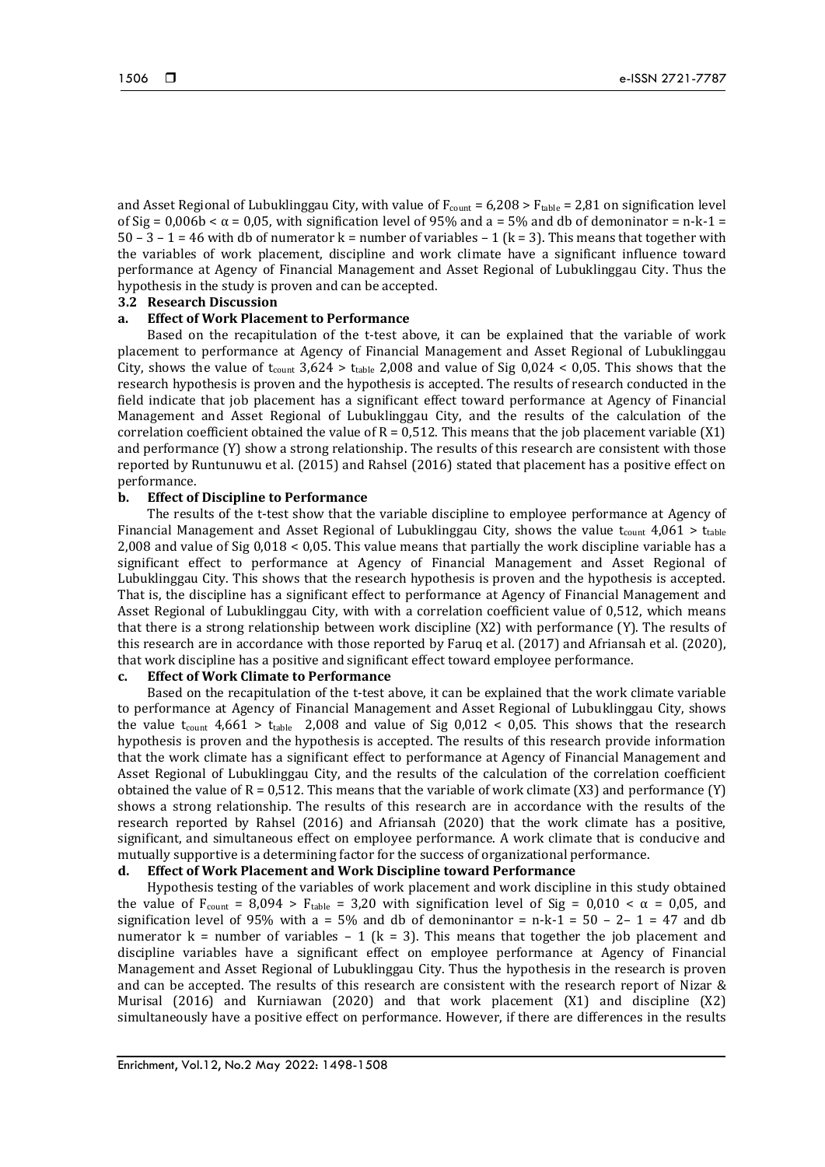and Asset Regional of Lubuklinggau City, with value of  $F_{\text{count}} = 6,208 > F_{\text{table}} = 2,81$  on signification level of Sig = 0,006b <  $\alpha$  = 0,05, with signification level of 95% and a = 5% and db of demoninator = n-k-1 =  $50 - 3 - 1 = 46$  with db of numerator k = number of variables  $-1$  (k = 3). This means that together with the variables of work placement, discipline and work climate have a significant influence toward performance at Agency of Financial Management and Asset Regional of Lubuklinggau City. Thus the hypothesis in the study is proven and can be accepted.

#### **3.2 Research Discussion**

## **a. Effect of Work Placement to Performance**

Based on the recapitulation of the t-test above, it can be explained that the variable of work placement to performance at Agency of Financial Management and Asset Regional of Lubuklinggau City, shows the value of t<sub>count</sub> 3,624 > t<sub>table</sub> 2,008 and value of Sig 0,024 < 0,05. This shows that the research hypothesis is proven and the hypothesis is accepted. The results of research conducted in the field indicate that job placement has a significant effect toward performance at Agency of Financial Management and Asset Regional of Lubuklinggau City, and the results of the calculation of the correlation coefficient obtained the value of  $R = 0.512$ . This means that the job placement variable (X1) and performance (Y) show a strong relationship. The results of this research are consistent with those reported by Runtunuwu et al. (2015) and Rahsel (2016) stated that placement has a positive effect on performance.

#### **b. Effect of Discipline to Performance**

The results of the t-test show that the variable discipline to employee performance at Agency of Financial Management and Asset Regional of Lubuklinggau City, shows the value  $t_{\text{count}}$  4,061 >  $t_{\text{table}}$ 2,008 and value of Sig 0,018 < 0,05. This value means that partially the work discipline variable has a significant effect to performance at Agency of Financial Management and Asset Regional of Lubuklinggau City. This shows that the research hypothesis is proven and the hypothesis is accepted. That is, the discipline has a significant effect to performance at Agency of Financial Management and Asset Regional of Lubuklinggau City, with with a correlation coefficient value of 0,512, which means that there is a strong relationship between work discipline (X2) with performance (Y). The results of this research are in accordance with those reported by Faruq et al. (2017) and Afriansah et al. (2020), that work discipline has a positive and significant effect toward employee performance.

#### **c. Effect of Work Climate to Performance**

Based on the recapitulation of the t-test above, it can be explained that the work climate variable to performance at Agency of Financial Management and Asset Regional of Lubuklinggau City, shows the value t<sub>count</sub> 4,661 > t<sub>table</sub> 2,008 and value of Sig 0,012 < 0,05. This shows that the research hypothesis is proven and the hypothesis is accepted. The results of this research provide information that the work climate has a significant effect to performance at Agency of Financial Management and Asset Regional of Lubuklinggau City, and the results of the calculation of the correlation coefficient obtained the value of  $R = 0.512$ . This means that the variable of work climate (X3) and performance (Y) shows a strong relationship. The results of this research are in accordance with the results of the research reported by Rahsel (2016) and Afriansah (2020) that the work climate has a positive, significant, and simultaneous effect on employee performance. A work climate that is conducive and mutually supportive is a determining factor for the success of organizational performance.

# **d. Effect of Work Placement and Work Discipline toward Performance**

Hypothesis testing of the variables of work placement and work discipline in this study obtained the value of  $F_{\text{count}} = 8,094 > F_{\text{table}} = 3,20$  with signification level of Sig = 0,010 <  $\alpha = 0.05$ , and signification level of 95% with a = 5% and db of demoninantor = n-k-1 = 50 – 2– 1 = 47 and db numerator  $k =$  number of variables  $-1$  ( $k = 3$ ). This means that together the job placement and discipline variables have a significant effect on employee performance at Agency of Financial Management and Asset Regional of Lubuklinggau City. Thus the hypothesis in the research is proven and can be accepted. The results of this research are consistent with the research report of Nizar & Murisal (2016) and Kurniawan (2020) and that work placement (X1) and discipline (X2) simultaneously have a positive effect on performance. However, if there are differences in the results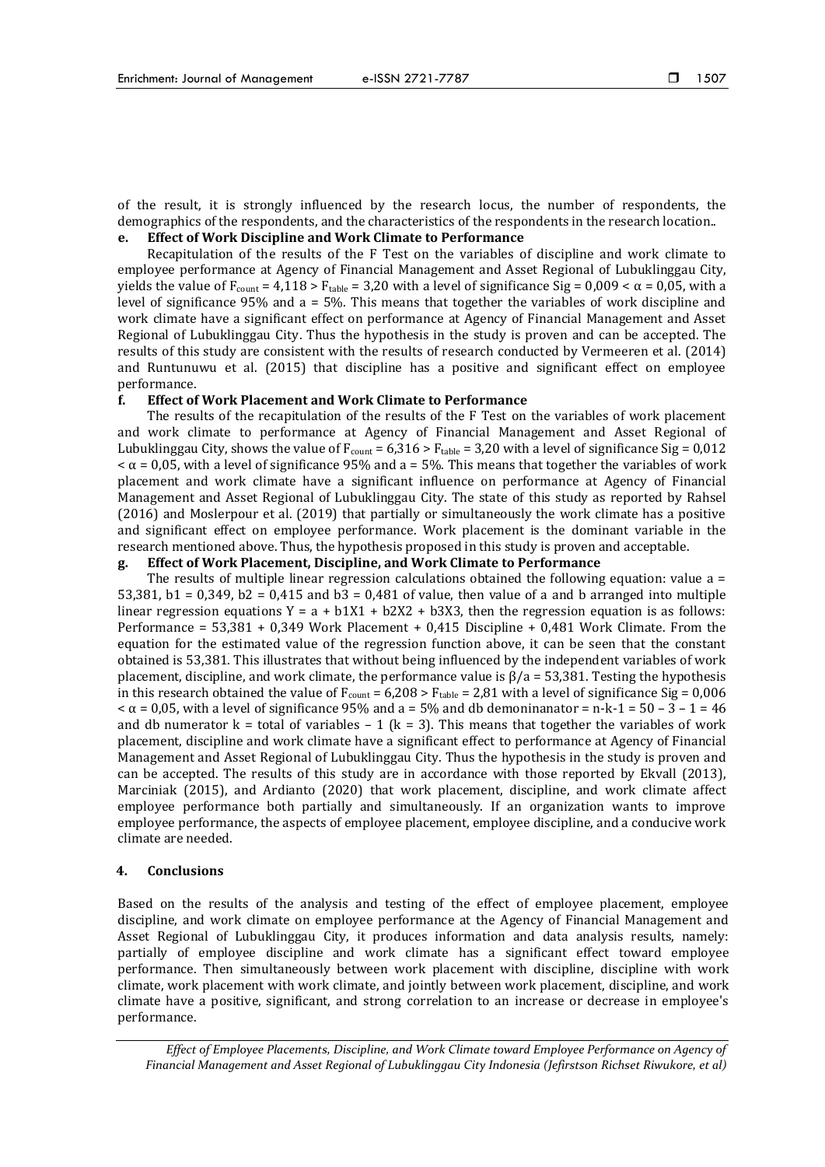of the result, it is strongly influenced by the research locus, the number of respondents, the demographics of the respondents, and the characteristics of the respondents in the research location..

## **e. Effect of Work Discipline and Work Climate to Performance**

Recapitulation of the results of the F Test on the variables of discipline and work climate to employee performance at Agency of Financial Management and Asset Regional of Lubuklinggau City, yields the value of  $F_{\text{count}} = 4.118 > F_{\text{table}} = 3.20$  with a level of significance Sig = 0,009 <  $\alpha$  = 0,05, with a level of significance 95% and a = 5%. This means that together the variables of work discipline and work climate have a significant effect on performance at Agency of Financial Management and Asset Regional of Lubuklinggau City. Thus the hypothesis in the study is proven and can be accepted. The results of this study are consistent with the results of research conducted by Vermeeren et al. (2014) and Runtunuwu et al. (2015) that discipline has a positive and significant effect on employee performance.

#### **f. Effect of Work Placement and Work Climate to Performance**

The results of the recapitulation of the results of the F Test on the variables of work placement and work climate to performance at Agency of Financial Management and Asset Regional of Lubuklinggau City, shows the value of  $F_{\text{count}} = 6,316 > F_{\text{table}} = 3,20$  with a level of significance Sig = 0,012  $\alpha$  = 0,05, with a level of significance 95% and a = 5%. This means that together the variables of work placement and work climate have a significant influence on performance at Agency of Financial Management and Asset Regional of Lubuklinggau City. The state of this study as reported by Rahsel (2016) and Moslerpour et al. (2019) that partially or simultaneously the work climate has a positive and significant effect on employee performance. Work placement is the dominant variable in the research mentioned above. Thus, the hypothesis proposed in this study is proven and acceptable.

#### **g. Effect of Work Placement, Discipline, and Work Climate to Performance**

The results of multiple linear regression calculations obtained the following equation: value a = 53,381, b1 = 0,349, b2 = 0,415 and b3 = 0,481 of value, then value of a and b arranged into multiple linear regression equations  $Y = a + b1X1 + b2X2 + b3X3$ , then the regression equation is as follows: Performance = 53,381 + 0,349 Work Placement + 0,415 Discipline + 0,481 Work Climate. From the equation for the estimated value of the regression function above, it can be seen that the constant obtained is 53,381. This illustrates that without being influenced by the independent variables of work placement, discipline, and work climate, the performance value is  $\beta/a = 53,381$ . Testing the hypothesis in this research obtained the value of  $F_{\text{count}} = 6,208 > F_{\text{table}} = 2,81$  with a level of significance Sig = 0,006  $< \alpha$  = 0,05, with a level of significance 95% and a = 5% and db demoninanator = n-k-1 = 50 – 3 – 1 = 46 and db numerator  $k =$  total of variables  $-1$  ( $k = 3$ ). This means that together the variables of work placement, discipline and work climate have a significant effect to performance at Agency of Financial Management and Asset Regional of Lubuklinggau City. Thus the hypothesis in the study is proven and can be accepted. The results of this study are in accordance with those reported by Ekvall (2013), Marciniak (2015), and Ardianto (2020) that work placement, discipline, and work climate affect employee performance both partially and simultaneously. If an organization wants to improve employee performance, the aspects of employee placement, employee discipline, and a conducive work climate are needed.

## **4. Conclusions**

Based on the results of the analysis and testing of the effect of employee placement, employee discipline, and work climate on employee performance at the Agency of Financial Management and Asset Regional of Lubuklinggau City, it produces information and data analysis results, namely: partially of employee discipline and work climate has a significant effect toward employee performance. Then simultaneously between work placement with discipline, discipline with work climate, work placement with work climate, and jointly between work placement, discipline, and work climate have a positive, significant, and strong correlation to an increase or decrease in employee's performance.